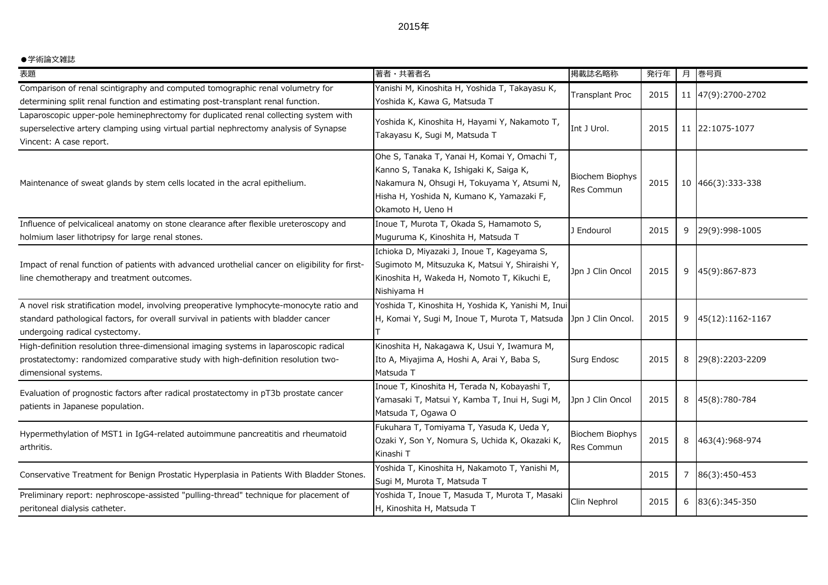## ●学術論文雑誌

| 表題                                                                                                                                                                                                               | 著者・共著者名                                                                                                                                                                                                  | 掲載誌名略称                        | 発行年  | 月 | 巻号頁                |
|------------------------------------------------------------------------------------------------------------------------------------------------------------------------------------------------------------------|----------------------------------------------------------------------------------------------------------------------------------------------------------------------------------------------------------|-------------------------------|------|---|--------------------|
| Comparison of renal scintigraphy and computed tomographic renal volumetry for<br>determining split renal function and estimating post-transplant renal function.                                                 | Yanishi M, Kinoshita H, Yoshida T, Takayasu K,<br>Yoshida K, Kawa G, Matsuda T                                                                                                                           | <b>Transplant Proc</b>        | 2015 |   | 11 47(9):2700-2702 |
| Laparoscopic upper-pole heminephrectomy for duplicated renal collecting system with<br>superselective artery clamping using virtual partial nephrectomy analysis of Synapse<br>Vincent: A case report.           | Yoshida K, Kinoshita H, Hayami Y, Nakamoto T,<br>Takayasu K, Sugi M, Matsuda T                                                                                                                           | Int J Urol.                   | 2015 |   | 11 22:1075-1077    |
| Maintenance of sweat glands by stem cells located in the acral epithelium.                                                                                                                                       | Ohe S, Tanaka T, Yanai H, Komai Y, Omachi T,<br>Kanno S, Tanaka K, Ishigaki K, Saiga K,<br>Nakamura N, Ohsugi H, Tokuyama Y, Atsumi N,<br>Hisha H, Yoshida N, Kumano K, Yamazaki F,<br>Okamoto H, Ueno H | Biochem Biophys<br>Res Commun | 2015 |   | 10 466(3):333-338  |
| Influence of pelvicaliceal anatomy on stone clearance after flexible ureteroscopy and<br>holmium laser lithotripsy for large renal stones.                                                                       | Inoue T, Murota T, Okada S, Hamamoto S,<br>Muguruma K, Kinoshita H, Matsuda T                                                                                                                            | J Endourol                    | 2015 | 9 | 29(9):998-1005     |
| Impact of renal function of patients with advanced urothelial cancer on eligibility for first-<br>line chemotherapy and treatment outcomes.                                                                      | Ichioka D, Miyazaki J, Inoue T, Kageyama S,<br>Sugimoto M, Mitsuzuka K, Matsui Y, Shiraishi Y,<br>Kinoshita H, Wakeda H, Nomoto T, Kikuchi E,<br>Nishiyama H                                             | Jpn J Clin Oncol              | 2015 | 9 | 45(9):867-873      |
| A novel risk stratification model, involving preoperative lymphocyte-monocyte ratio and<br>standard pathological factors, for overall survival in patients with bladder cancer<br>undergoing radical cystectomy. | Yoshida T, Kinoshita H, Yoshida K, Yanishi M, Inui<br>H, Komai Y, Sugi M, Inoue T, Murota T, Matsuda                                                                                                     | Jpn J Clin Oncol.             | 2015 | 9 | 45(12):1162-1167   |
| High-definition resolution three-dimensional imaging systems in laparoscopic radical<br>prostatectomy: randomized comparative study with high-definition resolution two-<br>dimensional systems.                 | Kinoshita H, Nakagawa K, Usui Y, Iwamura M,<br>Ito A, Miyajima A, Hoshi A, Arai Y, Baba S,<br>Matsuda T                                                                                                  | Surg Endosc                   | 2015 | 8 | 29(8):2203-2209    |
| Evaluation of prognostic factors after radical prostatectomy in pT3b prostate cancer<br>patients in Japanese population.                                                                                         | Inoue T, Kinoshita H, Terada N, Kobayashi T,<br>Yamasaki T, Matsui Y, Kamba T, Inui H, Sugi M,<br>Matsuda T, Ogawa O                                                                                     | Jpn J Clin Oncol              | 2015 | 8 | 45(8):780-784      |
| Hypermethylation of MST1 in IgG4-related autoimmune pancreatitis and rheumatoid<br>arthritis.                                                                                                                    | Fukuhara T, Tomiyama T, Yasuda K, Ueda Y,<br>Ozaki Y, Son Y, Nomura S, Uchida K, Okazaki K,<br>Kinashi T                                                                                                 | Biochem Biophys<br>Res Commun | 2015 | 8 | 463(4):968-974     |
| Conservative Treatment for Benign Prostatic Hyperplasia in Patients With Bladder Stones.                                                                                                                         | Yoshida T, Kinoshita H, Nakamoto T, Yanishi M,<br>Sugi M, Murota T, Matsuda T                                                                                                                            |                               | 2015 | 7 | 86(3):450-453      |
| Preliminary report: nephroscope-assisted "pulling-thread" technique for placement of<br>peritoneal dialysis catheter.                                                                                            | Yoshida T, Inoue T, Masuda T, Murota T, Masaki<br>H, Kinoshita H, Matsuda T                                                                                                                              | Clin Nephrol                  | 2015 | 6 | 83(6):345-350      |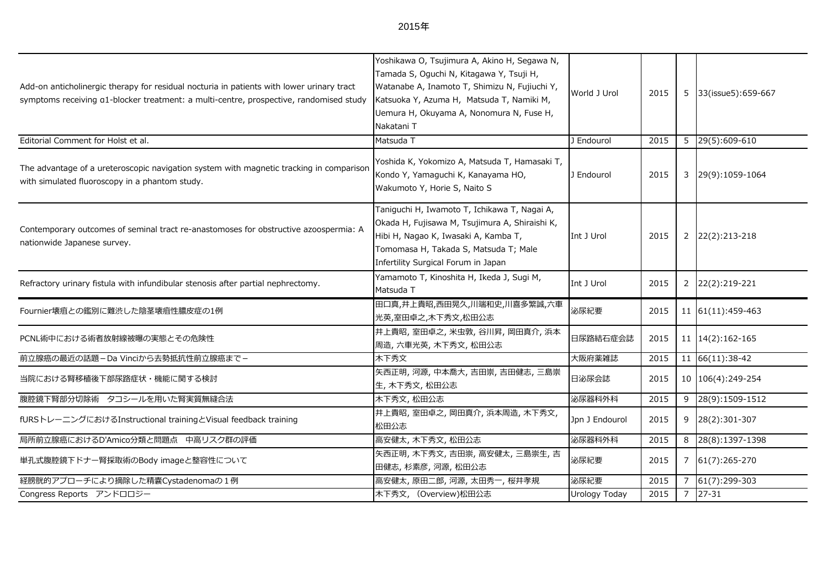| Add-on anticholinergic therapy for residual nocturia in patients with lower urinary tract<br>symptoms receiving a1-blocker treatment: a multi-centre, prospective, randomised study | Yoshikawa O, Tsujimura A, Akino H, Segawa N,<br>Tamada S, Oguchi N, Kitagawa Y, Tsuji H,<br>Watanabe A, Inamoto T, Shimizu N, Fujiuchi Y,<br>Katsuoka Y, Azuma H, Matsuda T, Namiki M,<br>Uemura H, Okuyama A, Nonomura N, Fuse H,<br>Nakatani T | World J Urol   | 2015 |   | 5 33(issue5):659-667          |
|-------------------------------------------------------------------------------------------------------------------------------------------------------------------------------------|--------------------------------------------------------------------------------------------------------------------------------------------------------------------------------------------------------------------------------------------------|----------------|------|---|-------------------------------|
| Editorial Comment for Holst et al.                                                                                                                                                  | Matsuda T                                                                                                                                                                                                                                        | J Endourol     | 2015 |   | 5 29(5):609-610               |
| The advantage of a ureteroscopic navigation system with magnetic tracking in comparison<br>with simulated fluoroscopy in a phantom study.                                           | Yoshida K, Yokomizo A, Matsuda T, Hamasaki T,<br>Kondo Y, Yamaguchi K, Kanayama HO,<br>Wakumoto Y, Horie S, Naito S                                                                                                                              | J Endourol     | 2015 | 3 | 29(9):1059-1064               |
| Contemporary outcomes of seminal tract re-anastomoses for obstructive azoospermia: A<br>nationwide Japanese survey.                                                                 | Taniguchi H, Iwamoto T, Ichikawa T, Nagai A,<br>Okada H, Fujisawa M, Tsujimura A, Shiraishi K,<br>Hibi H, Nagao K, Iwasaki A, Kamba T,<br>Tomomasa H, Takada S, Matsuda T; Male<br>Infertility Surgical Forum in Japan                           | Int J Urol     | 2015 |   | 2 22(2):213-218               |
| Refractory urinary fistula with infundibular stenosis after partial nephrectomy.                                                                                                    | Yamamoto T, Kinoshita H, Ikeda J, Sugi M,<br>Matsuda T                                                                                                                                                                                           | Int J Urol     | 2015 |   | 2 22(2):219-221               |
| Fournier壊疽との鑑別に難渋した陰茎壊疽性膿皮症の1例                                                                                                                                                      | 田口真,井上貴昭,西田晃久,川端和史,川喜多繁誠,六車<br>光英,室田卓之,木下秀文,松田公志                                                                                                                                                                                                 | 泌尿紀要           | 2015 |   | 11 61(11):459-463             |
| PCNL術中における術者放射線被曝の実態とその危険性                                                                                                                                                          | 井上貴昭,室田卓之,米虫敦,谷川昇,岡田真介,浜本<br>周造,六車光英,木下秀文,松田公志                                                                                                                                                                                                   | 日尿路結石症会誌       | 2015 |   | 11 14(2):162-165              |
| 前立腺癌の最近の話題-Da Vinciから去勢抵抗性前立腺癌まで-                                                                                                                                                   | 木下秀文                                                                                                                                                                                                                                             | 大阪府薬雑誌         | 2015 |   | $11 \big  66(11):38-42 \big $ |
| 当院における腎移植後下部尿路症状・機能に関する検討                                                                                                                                                           | 矢西正明, 河源, 中本喬大, 吉田崇, 吉田健志, 三島崇<br>生, 木下秀文, 松田公志                                                                                                                                                                                                  | 日泌尿会誌          | 2015 |   | 10 106(4):249-254             |
| 腹腔鏡下腎部分切除術 タコシールを用いた腎実質無縫合法                                                                                                                                                         | 木下秀文, 松田公志                                                                                                                                                                                                                                       | 泌尿器科外科         | 2015 |   | $9$ 28(9):1509-1512           |
| fURSトレーニングにおけるInstructional trainingとVisual feedback training                                                                                                                       | 井上貴昭,室田卓之,岡田真介,浜本周造,木下秀文,<br>松田公志                                                                                                                                                                                                                | Jpn J Endourol | 2015 |   | 9 28(2):301-307               |
| 局所前立腺癌におけるD'Amico分類と問題点 中高リスク群の評価                                                                                                                                                   | 高安健太, 木下秀文, 松田公志                                                                                                                                                                                                                                 | 泌尿器科外科         | 2015 | 8 | 28(8):1397-1398               |
| 単孔式腹腔鏡下ドナー腎採取術のBody imageと整容性について                                                                                                                                                   | 矢西正明,木下秀文,吉田崇,高安健太,三島崇生,吉<br>田健志, 杉素彦, 河源, 松田公志                                                                                                                                                                                                  | 泌尿紀要           | 2015 |   | 7 61(7):265-270               |
| 経膀胱的アプローチにより摘除した精嚢Cystadenomaの1例                                                                                                                                                    | 高安健太,原田二郎,河源,太田秀一,桜井孝規                                                                                                                                                                                                                           | 泌尿紀要           | 2015 |   | 7 61(7):299-303               |
| Congress Reports アンドロロジー                                                                                                                                                            | 木下秀文, (Overview)松田公志                                                                                                                                                                                                                             | Urology Today  | 2015 |   | $7 \mid 27 - 31$              |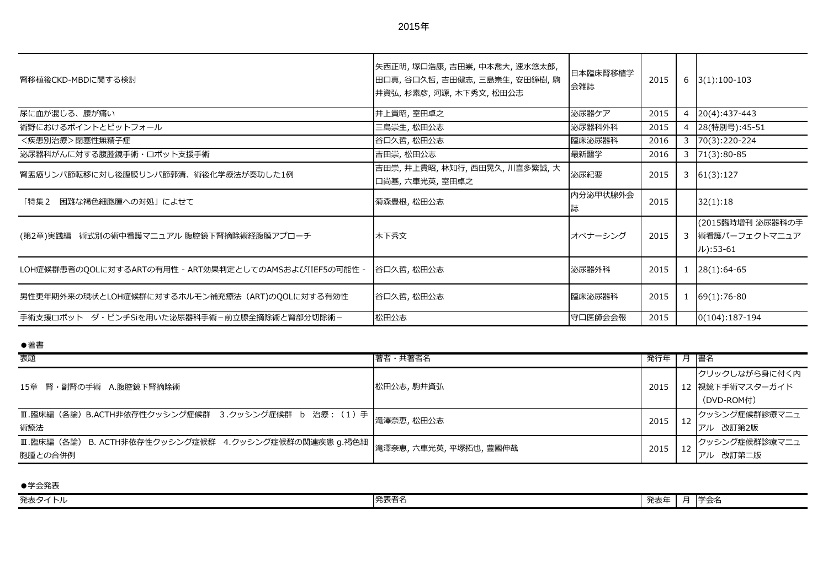| 腎移植後CKD-MBDに関する検討                                      | 矢西正明,塚口浩康,吉田崇,中本喬大,速水悠太郎,<br>田口真,谷口久哲,吉田健志,三島崇生,安田鐘樹,駒<br>井資弘, 杉素彦, 河源, 木下秀文, 松田公志 | 日本臨床腎移植学<br>会雑誌 | 2015 | 6              | $3(1):100-103$                                |
|--------------------------------------------------------|------------------------------------------------------------------------------------|-----------------|------|----------------|-----------------------------------------------|
| 尿に血が混じる、腰が痛い                                           | 井上貴昭,室田卓之                                                                          | 泌尿器ケア           | 2015 | $\overline{4}$ | 20(4):437-443                                 |
| 術野におけるポイントとピットフォール                                     | 三島崇生, 松田公志                                                                         | 泌尿器科外科          | 2015 | 4              | 28(特別号):45-51                                 |
| <疾患別治療>閉塞性無精子症                                         | 谷口久哲, 松田公志                                                                         | 臨床泌尿器科          | 2016 | 3              | 70(3):220-224                                 |
| 泌尿器科がんに対する腹腔鏡手術・ロボット支援手術                               | 吉田崇, 松田公志                                                                          | 最新醫学            | 2016 | 3              | $71(3):80-85$                                 |
| 腎盂癌リンパ節転移に対し後腹膜リンパ節郭清、術後化学療法が奏功した1例                    | 吉田崇,井上貴昭,林知行,西田晃久,川喜多繁誠,大<br>口尚基,六車光英,室田卓之                                         | 泌尿紀要            | 2015 | 3              | 61(3):127                                     |
| 「特集2 困難な褐色細胞腫への対処」によせて                                 | 菊森豊根, 松田公志                                                                         | 内分泌甲状腺外会        | 2015 |                | 32(1):18                                      |
| (第2章)実践編 術式別の術中看護マニュアル 腹腔鏡下腎摘除術経腹膜アプローチ                | 木下秀文                                                                               | オペナーシング         | 2015 | $\overline{3}$ | (2015臨時増刊 泌尿器科の手<br>術看護パーフェクトマニュア<br>ル):53-61 |
| LOH症候群患者のQOLに対するARTの有用性 - ART効果判定としてのAMSおよびIIEF5の可能性 - | 各口久哲, 松田公志                                                                         | 泌尿器外科           | 2015 |                | $28(1):64-65$                                 |
| 男性更年期外来の現状とLOH症候群に対するホルモン補充療法 (ART)のQOLに対する有効性         | 谷口久哲, 松田公志                                                                         | 臨床泌尿器科          | 2015 |                | $69(1):76-80$                                 |
| 手術支援ロボット ダ・ビンチSiを用いた泌尿器科手術-前立腺全摘除術と腎部分切除術-             | 松田公志                                                                               | 守口医師会会報         | 2015 |                | $0(104):187-194$                              |

●著書

| 表題                                                            | 著者・共著者名    | 発行年  | 月  書名                                          |
|---------------------------------------------------------------|------------|------|------------------------------------------------|
| 15章 腎・副腎の手術 A.腹腔鏡下腎摘除術                                        | 松田公志, 駒井資弘 | 2015 | クリックしながら身に付く内<br>12 視鏡下手術マスターガイド<br>(DVD-ROM付) |
| Ⅲ.臨床編 (各論) B.ACTH非依存性クッシング症候群 3.クッシング症候群 b 治療: (1) 手  <br>術療法 | 滝澤奈恵, 松田公志 | 2015 | クッシング症候群診療マニュ<br>アル 改訂第2版                      |
| 胞腫との合併例                                                       |            | 2015 | クッシング症候群診療マニュ<br>改訂第二版<br>アル                   |

●学会発表 ール<br>発表タイトル スポット マンディング マンディング マンディング おもし アイディング にっぽん アイディング アイディング かんじゅつ アイディング おもし アイディング おもし アイディング おもし アイディング おもし おもし<br>アイトル マンディング マンディング アイディング こうしゃ アイディング かんしゃ アイディング かんしゃ アイディング かんしゃ アイディング かんしゅう かんしゅう かんしゅう おもし アイデ 発表者名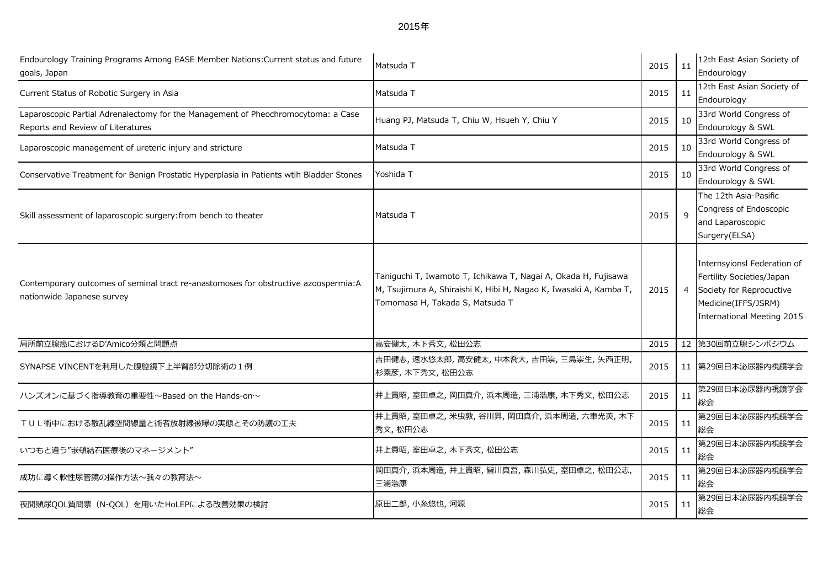2015年

| Endourology Training Programs Among EASE Member Nations: Current status and future<br>goals, Japan                     | Matsuda T                                                                                                                                                              | 2015 | 11             | 12th East Asian Society of<br>Endourology                                                                                                 |
|------------------------------------------------------------------------------------------------------------------------|------------------------------------------------------------------------------------------------------------------------------------------------------------------------|------|----------------|-------------------------------------------------------------------------------------------------------------------------------------------|
| Current Status of Robotic Surgery in Asia                                                                              | Matsuda T                                                                                                                                                              | 2015 | 11             | 12th East Asian Society of<br>Endourology                                                                                                 |
| Laparoscopic Partial Adrenalectomy for the Management of Pheochromocytoma: a Case<br>Reports and Review of Literatures | Huang PJ, Matsuda T, Chiu W, Hsueh Y, Chiu Y                                                                                                                           | 2015 | 10             | 33rd World Congress of<br>Endourology & SWL                                                                                               |
| Laparoscopic management of ureteric injury and stricture                                                               | Matsuda T                                                                                                                                                              | 2015 | 10             | 33rd World Congress of<br>Endourology & SWL                                                                                               |
| Conservative Treatment for Benign Prostatic Hyperplasia in Patients wtih Bladder Stones                                | Yoshida T                                                                                                                                                              | 2015 | 10             | 33rd World Congress of<br>Endourology & SWL                                                                                               |
| Skill assessment of laparoscopic surgery: from bench to theater                                                        | Matsuda T                                                                                                                                                              | 2015 | $\mathsf{q}$   | The 12th Asia-Pasific<br>Congress of Endoscopic<br>and Laparoscopic<br>Surgery(ELSA)                                                      |
| Contemporary outcomes of seminal tract re-anastomoses for obstructive azoospermia:A<br>nationwide Japanese survey      | Taniguchi T, Iwamoto T, Ichikawa T, Nagai A, Okada H, Fujisawa<br>M, Tsujimura A, Shiraishi K, Hibi H, Nagao K, Iwasaki A, Kamba T,<br>Tomomasa H, Takada S, Matsuda T | 2015 | $\overline{4}$ | Internsyionsl Federation of<br>Fertility Societies/Japan<br>Society for Reprocuctive<br>Medicine(IFFS/JSRM)<br>International Meeting 2015 |
| 局所前立腺癌におけるD'Amico分類と問題点                                                                                                | 高安健太, 木下秀文, 松田公志                                                                                                                                                       | 2015 |                | 12 第30回前立腺シンポジウム                                                                                                                          |
| SYNAPSE VINCENTを利用した腹腔鏡下上半腎部分切除術の1例                                                                                    | 吉田健志,速水悠太郎,高安健太,中本喬大,吉田崇,三島崇生,矢西正明,<br>杉素彦, 木下秀文, 松田公志                                                                                                                 | 2015 |                | 11 第29回日本泌尿器内視鏡学会                                                                                                                         |
| ハンズオンに基づく指導教育の重要性~Based on the Hands-on~                                                                               | 井上貴昭,室田卓之,岡田真介,浜本周造,三浦浩康,木下秀文,松田公志                                                                                                                                     | 2015 | 11             | 第29回日本泌尿器内視鏡学会<br>総会                                                                                                                      |
| TUL術中における散乱線空間線量と術者放射線被曝の実態とその防護の工夫                                                                                    | 井上貴昭,室田卓之,米虫敦,谷川昇,岡田真介,浜本周造,六車光英,木下<br>秀文, 松田公志                                                                                                                        | 2015 | 11             | 第29回日本泌尿器内視鏡学会<br>総会                                                                                                                      |
| いつもと違う"嵌頓結石医療後のマネージメント"                                                                                                | 井上貴昭,室田卓之,木下秀文,松田公志                                                                                                                                                    | 2015 | 11             | 第29回日本泌尿器内視鏡学会<br>総会                                                                                                                      |
| 成功に導く軟性尿管鏡の操作方法~我々の教育法~                                                                                                | 岡田真介,浜本周造,井上貴昭,皆川真吾,森川弘史,室田卓之,松田公志,<br>三浦浩康                                                                                                                            | 2015 | 11             | 第29回日本泌尿器内視鏡学会<br>総会                                                                                                                      |
| 夜間頻尿QOL質問票 (N-QOL) を用いたHoLEPによる改善効果の検討                                                                                 | 原田二郎, 小糸悠也, 河源                                                                                                                                                         | 2015 | 11             | 第29回日本泌尿器内視鏡学会<br>総会                                                                                                                      |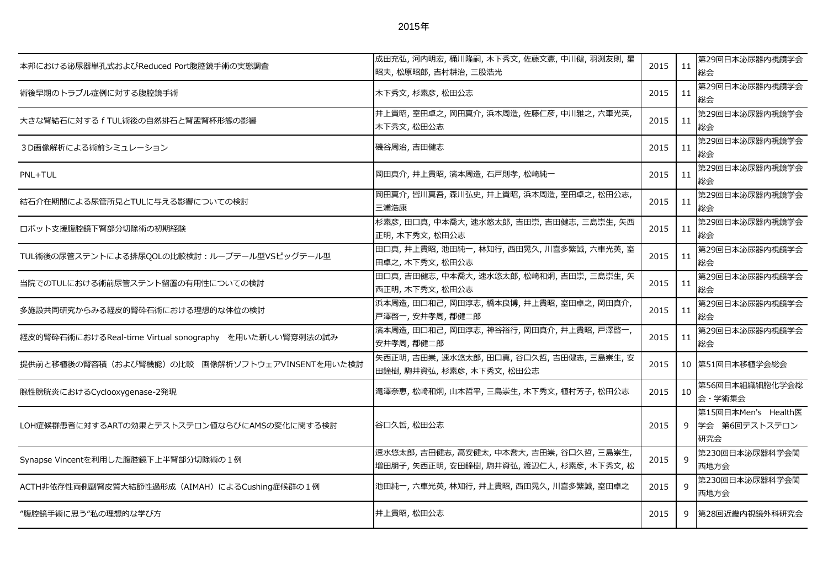| 本邦における泌尿器単孔式およびReduced Port腹腔鏡手術の実態調査                  | 成田充弘, 河内明宏, 桶川隆嗣, 木下秀文, 佐藤文憲, 中川健, 羽渕友則, 星<br>昭夫, 松原昭郎, 吉村耕治, 三股浩光                | 2015 | $\vert$ 11 | 第29回日本泌尿器内視鏡学会<br>総会                        |
|--------------------------------------------------------|-----------------------------------------------------------------------------------|------|------------|---------------------------------------------|
| 術後早期のトラブル症例に対する腹腔鏡手術                                   | 木下秀文,杉素彦,松田公志                                                                     | 2015 | 11         | 第29回日本泌尿器内視鏡学会<br>総会                        |
| 大きな腎結石に対する f TUL術後の自然排石と腎盂腎杯形態の影響                      | 井上貴昭,室田卓之,岡田真介,浜本周造,佐藤仁彦,中川雅之,六車光英,<br>木下秀文, 松田公志                                 | 2015 | 11         | 第29回日本泌尿器内視鏡学会<br>総会                        |
| 3D画像解析による術前シミュレーション                                    | 磯谷周治,吉田健志                                                                         | 2015 | 11         | 第29回日本泌尿器内視鏡学会<br>総会                        |
| PNL+TUL                                                | 岡田真介, 井上貴昭, 濱本周造, 石戸則孝, 松崎純一                                                      | 2015 | 11         | 第29回日本泌尿器内視鏡学会<br>総会                        |
| 結石介在期間による尿管所見とTULに与える影響についての検討                         | 岡田真介,皆川真吾,森川弘史,井上貴昭,浜本周造,室田卓之,松田公志,<br>三浦浩康                                       | 2015 | 11         | 第29回日本泌尿器内視鏡学会<br>総会                        |
| ロボット支援腹腔鏡下腎部分切除術の初期経験                                  | 杉素彦,田口真,中本喬大,速水悠太郎,吉田崇,吉田健志,三島崇生,矢西<br>正明, 木下秀文, 松田公志                             | 2015 | $\vert$ 11 | 第29回日本泌尿器内視鏡学会<br>総会                        |
| TUL術後の尿管ステントによる排尿QOLの比較検討:ループテール型VSピッグテール型             | 田口真,井上貴昭,池田純一,林知行,西田晃久,川喜多繁誠,六車光英,室<br>田卓之, 木下秀文, 松田公志                            | 2015 | 11         | 第29回日本泌尿器内視鏡学会<br>総会                        |
| 当院でのTULにおける術前尿管ステント留置の有用性についての検討                       | 田口真,吉田健志,中本喬大,速水悠太郎,松崎和炯,吉田崇,三島崇生,矢<br>西正明, 木下秀文, 松田公志                            | 2015 | 11         | 第29回日本泌尿器内視鏡学会<br>総会                        |
| 多施設共同研究からみる経皮的腎砕石術における理想的な体位の検討                        | 浜本周造,田口和己,岡田淳志,橋本良博,井上貴昭,室田卓之,岡田真介,<br>戸澤啓一, 安井孝周, 郡健二郎                           | 2015 | 11         | 第29回日本泌尿器内視鏡学会<br>総会                        |
| 経皮的腎砕石術におけるReal-time Virtual sonography を用いた新しい腎穿刺法の試み | 濱本周造,田口和己,岡田淳志,神谷裕行,岡田真介,井上貴昭,戸澤啓一,<br>安井孝周, 郡健二郎                                 | 2015 | 11         | 第29回日本泌尿器内視鏡学会<br>総会                        |
| 提供前と移植後の腎容積(および腎機能)の比較 画像解析ソフトウェアVINSENTを用いた検討         | 天西正明,吉田崇,速水悠太郎,田口真,谷口久哲,吉田健志,三島崇生,安<br>田鐘樹, 駒井資弘, 杉素彦, 木下秀文, 松田公志                 | 2015 |            | 10 第51回日本移植学会総会                             |
| 腺性膀胱炎におけるCyclooxygenase-2発現                            | 滝澤奈恵, 松崎和炯, 山本哲平, 三島崇生, 木下秀文, 植村芳子, 松田公志                                          | 2015 | 10         | 第56回日本組織細胞化学会総<br>会・学術集会                    |
| LOH症候群患者に対するARTの効果とテストステロン値ならびにAMSの変化に関する検討            | 谷口久哲, 松田公志                                                                        | 2015 | 9          | 第15回日本Men's Health医<br>学会 第6回テストステロン<br>研究会 |
| Synapse Vincentを利用した腹腔鏡下上半腎部分切除術の1例                    | 速水悠太郎,吉田健志,高安健太,中本喬大,吉田崇,谷口久哲,三島崇生,<br>増田朋子, 矢西正明, 安田鐘樹, 駒井資弘, 渡辺仁人, 杉素彦, 木下秀文, 松 | 2015 | 9          | 第230回日本泌尿器科学会関<br>西地方会                      |
| ACTH非依存性両側副腎皮質大結節性過形成 (AIMAH) によるCushing症候群の1例         | 池田純一,六車光英,林知行,井上貴昭,西田晃久,川喜多繁誠,室田卓之                                                | 2015 | 9          | 第230回日本泌尿器科学会関<br>西地方会                      |
| "腹腔鏡手術に思う"私の理想的な学び方                                    | 井上貴昭, 松田公志                                                                        | 2015 | 9          | 第28回近畿内視鏡外科研究会                              |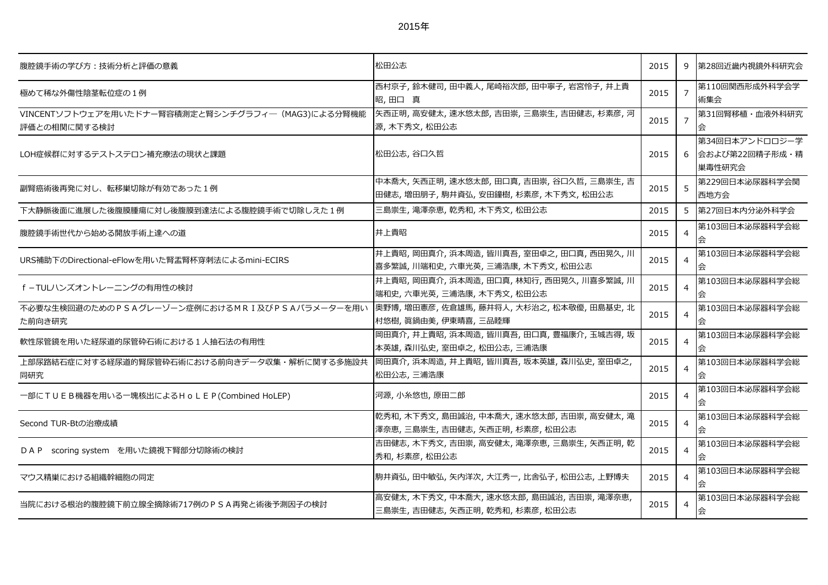| 1:<br>Oʻ<br>÷<br>ാ |
|--------------------|
|--------------------|

| 腹腔鏡手術の学び方:技術分析と評価の意義                                              | 松田公志                                                                          | 2015 | 9              | 第28回近畿内視鏡外科研究会                             |
|-------------------------------------------------------------------|-------------------------------------------------------------------------------|------|----------------|--------------------------------------------|
| 極めて稀な外傷性陰茎転位症の1例                                                  | 西村京子,鈴木健司,田中義人,尾崎裕次郎,田中寧子,岩宮怜子,井上貴<br>昭,田口真                                   | 2015 | $\overline{7}$ | 第110回関西形成外科学会学<br>術集会                      |
| VINCENTソフトウェアを用いたドナー腎容積測定と腎シンチグラフィー (MAG3)による分腎機能<br>評価との相関に関する検討 | 矢西正明, 高安健太, 速水悠太郎, 吉田崇, 三島崇生, 吉田健志, 杉素彦, 河<br>源,木下秀文,松田公志                     | 2015 | $\overline{7}$ | 第31回腎移植·血液外科研究<br>会                        |
| LOH症候群に対するテストステロン補充療法の現状と課題                                       | 松田公志, 谷口久哲                                                                    | 2015 | 6              | 第34回日本アンドロロジー学<br>会および第22回精子形成・精<br>巣毒性研究会 |
| 副腎癌術後再発に対し、転移巣切除が有効であった1例                                         | 中本喬大,矢西正明,速水悠太郎,田口真,吉田崇,谷口久哲,三島崇生,吉<br>田健志, 増田朋子, 駒井資弘, 安田鐘樹, 杉素彦, 木下秀文, 松田公志 | 2015 | 5              | 第229回日本泌尿器科学会関<br>西地方会                     |
| 下大静脈後面に進展した後腹膜腫瘍に対し後腹膜到達法による腹腔鏡手術で切除しえた1例                         | 三島崇生, 滝澤奈恵, 乾秀和, 木下秀文, 松田公志                                                   | 2015 | 5              | 第27回日本内分泌外科学会                              |
| 腹腔鏡手術世代から始める開放手術上達への道                                             | 井上貴昭                                                                          | 2015 | $\overline{4}$ | 第103回日本泌尿器科学会総<br>会                        |
| URS補助下のDirectional-eFlowを用いた腎盂腎杯穿刺法によるmini-ECIRS                  | 井上貴昭,岡田真介,浜本周造,皆川真吾,室田卓之,田口真,西田晃久,川<br>喜多繁誠, 川端和史, 六車光英, 三浦浩康, 木下秀文, 松田公志     | 2015 | $\overline{4}$ | 第103回日本泌尿器科学会総                             |
| f-TULハンズオントレーニングの有用性の検討                                           | 井上貴昭,岡田真介,浜本周造,田口真,林知行,西田晃久,川喜多繁誠,川<br>端和史,六車光英,三浦浩康,木下秀文,松田公志                | 2015 | $\overline{4}$ | 第103回日本泌尿器科学会総                             |
| 不必要な生検回避のためのPSAグレーゾーン症例におけるMRI及びPSAパラメーターを用い<br>た前向き研究            | 奥野博, 増田憲彦, 佐倉雄馬, 藤井将人, 大杉治之, 松本敬優, 田島基史, 北<br>村悠樹, 真鍋由美, 伊東晴喜, 三品睦輝           | 2015 | $\overline{4}$ | 第103回日本泌尿器科学会総                             |
| 軟性尿管鏡を用いた経尿道的尿管砕石術における1人抽石法の有用性                                   | 岡田真介,井上貴昭,浜本周造,皆川真吾,田口真,豊福康介,玉城吉得,坂<br>本英雄,森川弘史,室田卓之,松田公志,三浦浩康                | 2015 | $\overline{4}$ | 第103回日本泌尿器科学会総                             |
| 上部尿路結石症に対する経尿道的腎尿管砕石術における前向きデータ収集・解析に関する多施設共<br>同研究               | 岡田真介,浜本周造,井上貴昭,皆川真吾,坂本英雄,森川弘史,室田卓之,<br>松田公志,三浦浩康                              | 2015 | $\overline{4}$ | 第103回日本泌尿器科学会総<br>会                        |
| 一部にTUEB機器を用いる一塊核出によるHoLEP(Combined HoLEP)                         | 河源, 小糸悠也, 原田二郎                                                                | 2015 | $\overline{4}$ | 第103回日本泌尿器科学会総<br>会                        |
| Second TUR-Btの治療成績                                                | 乾秀和, 木下秀文, 島田誠治, 中本喬大, 速水悠太郎, 吉田崇, 高安健太, 滝<br>澤奈恵,三島崇生,吉田健志,矢西正明,杉素彦,松田公志     | 2015 | $\overline{4}$ | 第103回日本泌尿器科学会総                             |
| DAP scoring system を用いた鏡視下腎部分切除術の検討                               | 吉田健志, 木下秀文, 吉田崇, 高安健太, 滝澤奈恵, 三島崇生, 矢西正明, 乾<br>秀和,杉素彦,松田公志                     | 2015 | $\overline{4}$ | 第103回日本泌尿器科学会総<br>会                        |
| マウス精巣における組織幹細胞の同定                                                 | 駒井資弘,田中敏弘,矢内洋次,大江秀一,比舎弘子,松田公志,上野博夫                                            | 2015 | $\overline{4}$ | 第103回日本泌尿器科学会総                             |
| 当院における根治的腹腔鏡下前立腺全摘除術717例のPSA再発と術後予測因子の検討                          | 高安健太,木下秀文,中本喬大,速水悠太郎,島田誠治,吉田崇,滝澤奈恵,<br>三島崇生,吉田健志,矢西正明,乾秀和,杉素彦,松田公志            | 2015 |                | 第103回日本泌尿器科学会総                             |